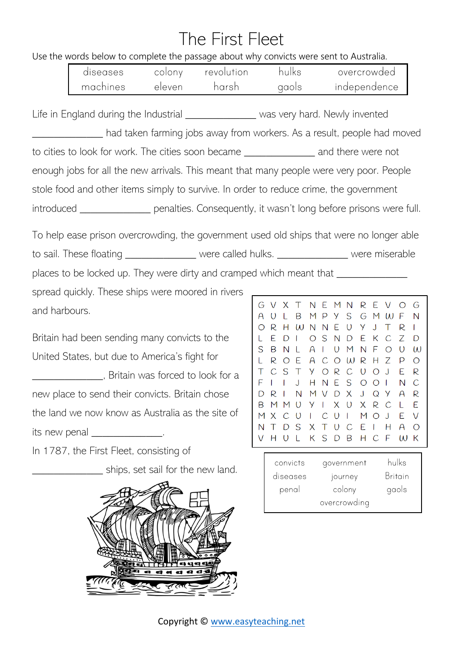## The First Fleet

## Use the words below to complete the passage about why convicts were sent to Australia.

| diseases | colonv | revolution | hulks | overcrowded  |
|----------|--------|------------|-------|--------------|
| machines | eleven | harsh      | qaois | independence |

Life in England during the Industrial \_\_\_\_\_\_\_\_\_\_\_\_\_\_\_ was very hard. Newly invented had taken farming jobs away from workers. As a result, people had moved to cities to look for work. The cities soon became \_\_\_\_\_\_\_\_\_\_\_\_\_ and there were not enough jobs for all the new arrivals. This meant that many people were very poor. People stole food and other items simply to survive. In order to reduce crime, the government introduced entity penalties. Consequently, it wasn't long before prisons were full.

To help ease prison overcrowding, the government used old ships that were no longer able to sail. These floating \_\_\_\_\_\_\_\_\_\_\_\_\_\_ were called hulks. \_\_\_\_\_\_\_\_\_\_\_\_\_\_\_ were miserable places to be locked up. They were dirty and cramped which meant that \_\_\_\_\_\_\_\_\_\_\_

spread quickly. These ships were moored in rivers and harbours.

Britain had been sending many convicts to the United States, but due to America's fight for \_\_\_\_\_\_\_\_\_\_\_\_\_, Britain was forced to look for a new place to send their convicts. Britain chose the land we now know as Australia as the site of its new penal example.

In 1787, the First Fleet, consisting of

**Example 2** ships, set sail for the new land.



| G                               | V             | X T        |              |          |                |         | NEMN         |                |                | REV          | $\bigcirc$ | G             |
|---------------------------------|---------------|------------|--------------|----------|----------------|---------|--------------|----------------|----------------|--------------|------------|---------------|
| A                               | $\cup$        | L          | Β            |          |                | MPYS    |              | G              |                | M W          | F          | N             |
| $\bigcirc$                      | R             | Н          | $\omega$     |          | NNE            |         | $\cup$       | Y.             | $\cup$         | Τ            | R          |               |
|                                 | E.            | D          | $\mathbf{I}$ |          | OSN            |         | D            | E.             | К              | C            | Ζ          | D             |
| S                               | В             | N          | L            | A        | $\mathbb{R}^2$ |         | U M          | N              | F.             | $\bigcirc$   | $\cup$     | $\mathcal{U}$ |
| L                               | R             | $\bigcirc$ | E            | A        |                |         | COWRH        |                |                | Ζ            | P          | $\bigcirc$    |
| $\top$                          | $\mathcal{C}$ | S.         | $\top$       | Y.       |                | ORC     |              | $\cup$         | $\bigcirc$     | J.           | E.         | R             |
| F                               | I             |            | J            | H.       | N              | E S     |              | $\circ$        | $\overline{O}$ | $\mathbf{I}$ | N          | C             |
| D                               | R             |            | N            |          |                | MVDX    |              | $\cup$         | Q Y            |              | A          | R             |
| B                               | M             | M          | $\cup$       | Y.       | $\mathbf{L}$   | X U     |              | $\mathsf{X}^-$ | R.             | $\mathcal C$ | L          | F             |
| M X                             |               | C          | O            | L        | $C$ $U$        |         | $\mathbf{I}$ | M              | $\circ$        | J.           | E          | V             |
| N                               | Т             | D          | S.           | $\times$ | $\top$         | $U$ $C$ |              | E.             | -1             | Н            | A          | ∩             |
| V.                              | Н             | O          | L            |          |                |         | KSDB         |                | H C F          |              | W K        |               |
| hulke<br>COVAINMANT<br>convicte |               |            |              |          |                |         |              |                |                |              |            |               |

| convicts | qovernment   | hulks          |
|----------|--------------|----------------|
| diseases | journey      | <b>Britain</b> |
| penal    | colony       | gaols          |
|          | overcrowding |                |